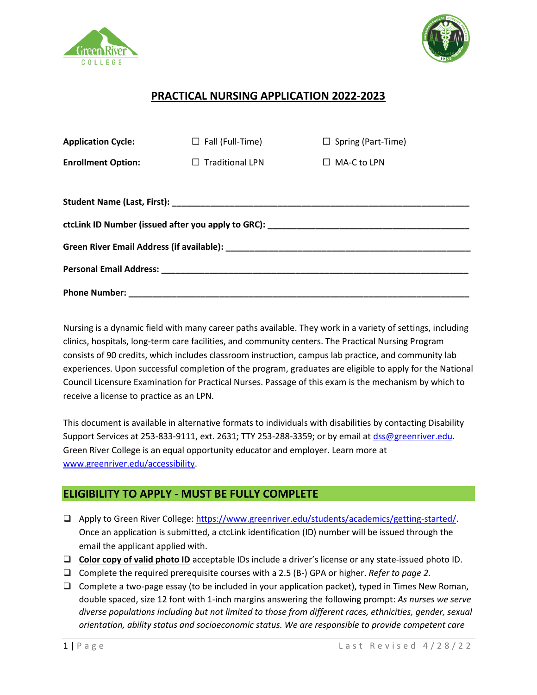



# **PRACTICAL NURSING APPLICATION 2022-2023**

| <b>Application Cycle:</b> | $\Box$ Fall (Full-Time) | $\Box$ Spring (Part-Time) |  |  |
|---------------------------|-------------------------|---------------------------|--|--|
| <b>Enrollment Option:</b> | $\Box$ Traditional LPN  | $\Box$ MA-C to LPN        |  |  |
|                           |                         |                           |  |  |
|                           |                         |                           |  |  |
|                           |                         |                           |  |  |
|                           |                         |                           |  |  |
|                           |                         |                           |  |  |
|                           |                         |                           |  |  |

Nursing is a dynamic field with many career paths available. They work in a variety of settings, including clinics, hospitals, long-term care facilities, and community centers. The Practical Nursing Program consists of 90 credits, which includes classroom instruction, campus lab practice, and community lab experiences. Upon successful completion of the program, graduates are eligible to apply for the National Council Licensure Examination for Practical Nurses. Passage of this exam is the mechanism by which to receive a license to practice as an LPN.

This document is available in alternative formats to individuals with disabilities by contacting Disability Support Services at 253-833-9111, ext. 2631; TTY 253-288-3359; or by email at [dss@greenriver.edu.](file:///C:/Users/Kara/Downloads/dss@greenriver.edu) Green River College is an equal opportunity educator and employer. Learn more at [www.greenriver.edu/accessibility.](file:///C:/Users/Kara/Downloads/www.greenriver.edu/accessibility)

# **ELIGIBILITY TO APPLY - MUST BE FULLY COMPLETE**

- ❑ Apply to Green River College: [https://www.greenriver.edu/students/academics/getting-started/.](https://www.greenriver.edu/students/academics/getting-started/) Once an application is submitted, a ctcLink identification (ID) number will be issued through the email the applicant applied with.
- ❑ **Color copy of valid photo ID** acceptable IDs include a driver's license or any state-issued photo ID.
- ❑ Complete the required prerequisite courses with a 2.5 (B-) GPA or higher. *Refer to page 2.*
- ❑ Complete a two-page essay (to be included in your application packet), typed in Times New Roman, double spaced, size 12 font with 1-inch margins answering the following prompt: *As nurses we serve diverse populations including but not limited to those from different races, ethnicities, gender, sexual orientation, ability status and socioeconomic status. We are responsible to provide competent care*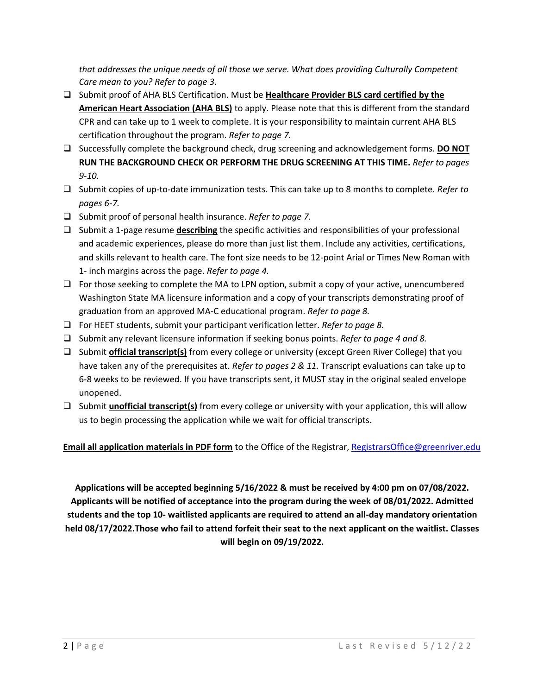*that addresses the unique needs of all those we serve. What does providing Culturally Competent Care mean to you? Refer to page 3.*

- ❑ Submit proof of AHA BLS Certification. Must be **Healthcare Provider BLS card certified by the American Heart Association (AHA BLS)** to apply. Please note that this is different from the standard CPR and can take up to 1 week to complete. It is your responsibility to maintain current AHA BLS certification throughout the program. *Refer to page 7.*
- ❑ Successfully complete the background check, drug screening and acknowledgement forms. **DO NOT RUN THE BACKGROUND CHECK OR PERFORM THE DRUG SCREENING AT THIS TIME.** *Refer to pages 9-10.*
- ❑ Submit copies of up-to-date immunization tests. This can take up to 8 months to complete. *Refer to pages 6-7.*
- ❑ Submit proof of personal health insurance. *Refer to page 7.*
- ❑ Submit a 1-page resume **describing** the specific activities and responsibilities of your professional and academic experiences, please do more than just list them. Include any activities, certifications, and skills relevant to health care. The font size needs to be 12-point Arial or Times New Roman with 1- inch margins across the page. *Refer to page 4.*
- ❑ For those seeking to complete the MA to LPN option, submit a copy of your active, unencumbered Washington State MA licensure information and a copy of your transcripts demonstrating proof of graduation from an approved MA-C educational program. *Refer to page 8.*
- ❑ For HEET students, submit your participant verification letter. *Refer to page 8.*
- ❑ Submit any relevant licensure information if seeking bonus points. *Refer to page 4 and 8.*
- ❑ Submit **official transcript(s)** from every college or university (except Green River College) that you have taken any of the prerequisites at. *Refer to pages 2 & 11.* Transcript evaluations can take up to 6-8 weeks to be reviewed. If you have transcripts sent, it MUST stay in the original sealed envelope unopened.
- ❑ Submit **unofficial transcript(s)** from every college or university with your application, this will allow us to begin processing the application while we wait for official transcripts.

**Email all application materials in PDF form** to the Office of the Registrar, [RegistrarsOffice@greenriver.edu](mailto:RegistrarsOffice@greenriver.edu)

**Applications will be accepted beginning 5/16/2022 & must be received by 4:00 pm on 07/08/2022. Applicants will be notified of acceptance into the program during the week of 08/01/2022. Admitted students and the top 10- waitlisted applicants are required to attend an all-day mandatory orientation held 08/17/2022.Those who fail to attend forfeit their seat to the next applicant on the waitlist. Classes will begin on 09/19/2022.**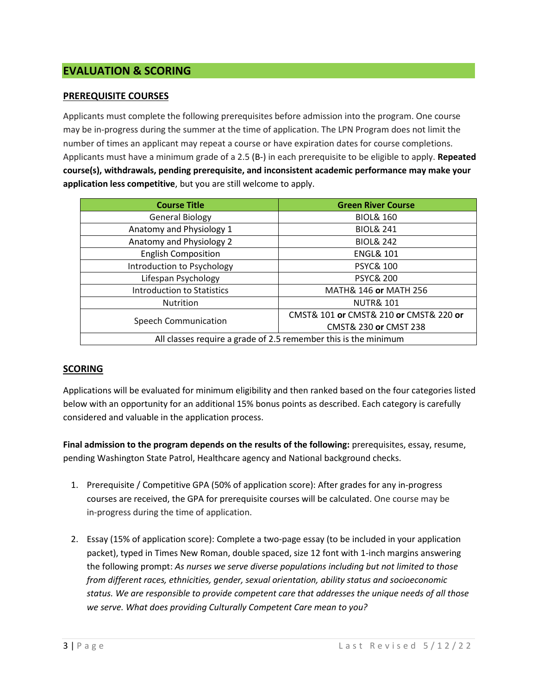# **EVALUATION & SCORING**

#### **PREREQUISITE COURSES**

Applicants must complete the following prerequisites before admission into the program. One course may be in-progress during the summer at the time of application. The LPN Program does not limit the number of times an applicant may repeat a course or have expiration dates for course completions. Applicants must have a minimum grade of a 2.5 (B-) in each prerequisite to be eligible to apply. **Repeated course(s), withdrawals, pending prerequisite, and inconsistent academic performance may make your application less competitive**, but you are still welcome to apply.

| <b>Course Title</b>                                             | <b>Green River Course</b>              |  |
|-----------------------------------------------------------------|----------------------------------------|--|
| <b>General Biology</b>                                          | <b>BIOL&amp; 160</b>                   |  |
| Anatomy and Physiology 1                                        | <b>BIOL&amp; 241</b>                   |  |
| Anatomy and Physiology 2                                        | <b>BIOL&amp; 242</b>                   |  |
| <b>English Composition</b>                                      | <b>ENGL&amp; 101</b>                   |  |
| Introduction to Psychology                                      | <b>PSYC&amp; 100</b>                   |  |
| Lifespan Psychology                                             | <b>PSYC&amp; 200</b>                   |  |
| <b>Introduction to Statistics</b>                               | MATH& 146 or MATH 256                  |  |
| Nutrition                                                       | <b>NUTR&amp; 101</b>                   |  |
| <b>Speech Communication</b>                                     | CMST& 101 or CMST& 210 or CMST& 220 or |  |
|                                                                 | CMST& 230 or CMST 238                  |  |
| All classes require a grade of 2.5 remember this is the minimum |                                        |  |

#### **SCORING**

Applications will be evaluated for minimum eligibility and then ranked based on the four categories listed below with an opportunity for an additional 15% bonus points as described. Each category is carefully considered and valuable in the application process.

**Final admission to the program depends on the results of the following:** prerequisites, essay, resume, pending Washington State Patrol, Healthcare agency and National background checks.

- 1. Prerequisite / Competitive GPA (50% of application score): After grades for any in-progress courses are received, the GPA for prerequisite courses will be calculated. One course may be in-progress during the time of application.
- 2. Essay (15% of application score): Complete a two-page essay (to be included in your application packet), typed in Times New Roman, double spaced, size 12 font with 1-inch margins answering the following prompt: *As nurses we serve diverse populations including but not limited to those from different races, ethnicities, gender, sexual orientation, ability status and socioeconomic status. We are responsible to provide competent care that addresses the unique needs of all those we serve. What does providing Culturally Competent Care mean to you?*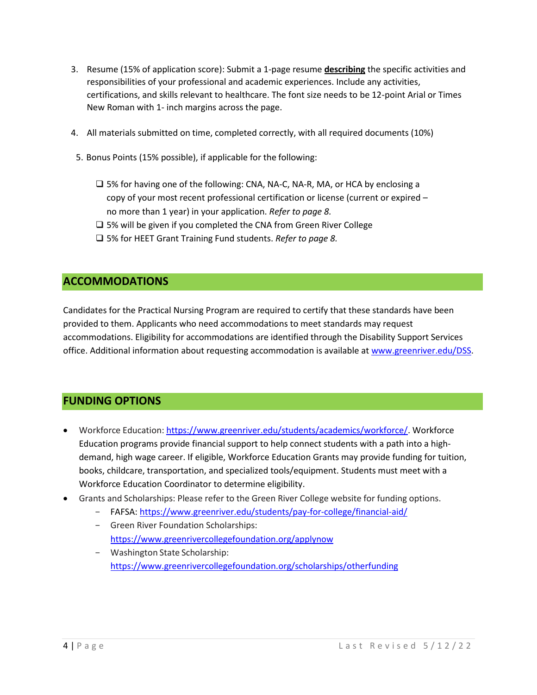- 3. Resume (15% of application score): Submit a 1-page resume **describing** the specific activities and responsibilities of your professional and academic experiences. Include any activities, certifications, and skills relevant to healthcare. The font size needs to be 12-point Arial or Times New Roman with 1- inch margins across the page.
- 4. All materials submitted on time, completed correctly, with all required documents (10%)
- 5. Bonus Points (15% possible), if applicable for the following:
	- ❑ 5% for having one of the following: CNA, NA-C, NA-R, MA, or HCA by enclosing a copy of your most recent professional certification or license (current or expired – no more than 1 year) in your application. *Refer to page 8.*
	- ❑ 5% will be given if you completed the CNA from Green River College
	- ❑ 5% for HEET Grant Training Fund students. *Refer to page 8.*

# **ACCOMMODATIONS**

Candidates for the Practical Nursing Program are required to certify that these standards have been provided to them. Applicants who need accommodations to meet standards may request accommodations. Eligibility for accommodations are identified through the Disability Support Services office. Additional information about requesting accommodation is available a[t www.greenriver.edu/DSS.](https://www.greenriver.edu/campus/campus-resources/disability-support-services/)

# **FUNDING OPTIONS**

- Workforce Education: [https://www.greenriver.edu/students/academics/workforce/.](https://www.greenriver.edu/students/academics/workforce/) Workforce Education programs provide financial support to help connect students with a path into a highdemand, high wage career. If eligible, Workforce Education Grants may provide funding for tuition, books, childcare, transportation, and specialized tools/equipment. Students must meet with a Workforce Education Coordinator to determine eligibility.
- Grants and Scholarships: Please refer to the Green River College website for funding options.
	- FAFSA: <https://www.greenriver.edu/students/pay-for-college/financial-aid/>
	- Green River Foundation Scholarships: <https://www.greenrivercollegefoundation.org/applynow>
	- Washington State Scholarship: <https://www.greenrivercollegefoundation.org/scholarships/otherfunding>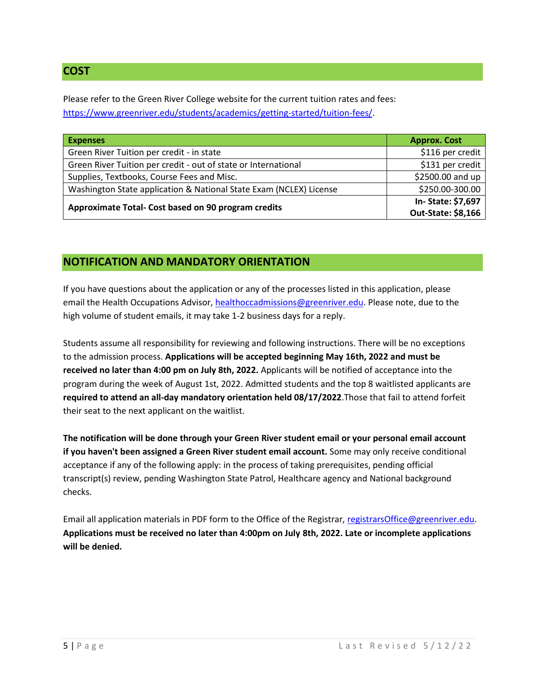# **COST**

Please refer to the Green River College website for the current tuition rates and fees: [https://www.greenriver.edu/students/academics/getting-started/tuition-fees/.](https://www.greenriver.edu/students/academics/getting-started/tuition-fees/)

| <b>Expenses</b>                                                    | <b>Approx. Cost</b> |
|--------------------------------------------------------------------|---------------------|
| Green River Tuition per credit - in state                          | \$116 per credit    |
| Green River Tuition per credit - out of state or International     | \$131 per credit    |
| Supplies, Textbooks, Course Fees and Misc.                         | \$2500.00 and up    |
| Washington State application & National State Exam (NCLEX) License | \$250.00-300.00     |
|                                                                    | In-State: \$7,697   |
| Approximate Total- Cost based on 90 program credits                | Out-State: \$8,166  |

# **NOTIFICATION AND MANDATORY ORIENTATION**

If you have questions about the application or any of the processes listed in this application, please email the Health Occupations Advisor, [healthoccadmissions@greenriver.edu.](mailto:healthoccadmissions@greenriver.edu) Please note, due to the high volume of student emails, it may take 1-2 business days for a reply.

Students assume all responsibility for reviewing and following instructions. There will be no exceptions to the admission process. **Applications will be accepted beginning May 16th, 2022 and must be received no later than 4:00 pm on July 8th, 2022.** Applicants will be notified of acceptance into the program during the week of August 1st, 2022. Admitted students and the top 8 waitlisted applicants are **required to attend an all-day mandatory orientation held 08/17/2022**.Those that fail to attend forfeit their seat to the next applicant on the waitlist.

**The notification will be done through your Green River student email or your personal email account if you haven't been assigned a Green River student email account.** Some may only receive conditional acceptance if any of the following apply: in the process of taking prerequisites, pending official transcript(s) review, pending Washington State Patrol, Healthcare agency and National background checks.

Email all application materials in PDF form to the Office of the Registrar, [registrarsOffice@greenriver.edu.](file:///C:/Users/Kara/Downloads/registrarsOffice@greenriver.edu) **Applications must be received no later than 4:00pm on July 8th, 2022. Late or incomplete applications will be denied.**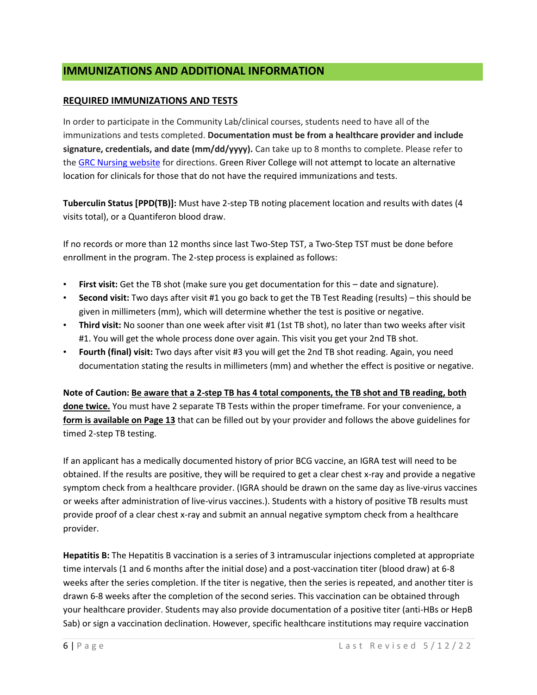# **IMMUNIZATIONS AND ADDITIONAL INFORMATION**

#### **REQUIRED IMMUNIZATIONS AND TESTS**

In order to participate in the Community Lab/clinical courses, students need to have all of the immunizations and tests completed. **Documentation must be from a healthcare provider and include signature, credentials, and date (mm/dd/yyyy).** Can take up to 8 months to complete. Please refer to th[e GRC Nursing website](https://www.greenriver.edu/students/academics/degrees-programs/nursing/practical-nursing/application/immunization/) for directions. Green River College will not attempt to locate an alternative location for clinicals for those that do not have the required immunizations and tests.

**Tuberculin Status [PPD(TB)]:** Must have 2-step TB noting placement location and results with dates (4 visits total), or a Quantiferon blood draw.

If no records or more than 12 months since last Two-Step TST, a Two-Step TST must be done before enrollment in the program. The 2-step process is explained as follows:

- **First visit:** Get the TB shot (make sure you get documentation for this date and signature).
- **Second visit:** Two days after visit #1 you go back to get the TB Test Reading (results) this should be given in millimeters (mm), which will determine whether the test is positive or negative.
- **Third visit:** No sooner than one week after visit #1 (1st TB shot), no later than two weeks after visit #1. You will get the whole process done over again. This visit you get your 2nd TB shot.
- **Fourth (final) visit:** Two days after visit #3 you will get the 2nd TB shot reading. Again, you need documentation stating the results in millimeters (mm) and whether the effect is positive or negative.

**Note of Caution: Be aware that a 2-step TB has 4 total components, the TB shot and TB reading, both done twice.** You must have 2 separate TB Tests within the proper timeframe. For your convenience, a **form is available on Page 13** that can be filled out by your provider and follows the above guidelines for timed 2-step TB testing.

If an applicant has a medically documented history of prior BCG vaccine, an IGRA test will need to be obtained. If the results are positive, they will be required to get a clear chest x-ray and provide a negative symptom check from a healthcare provider. (IGRA should be drawn on the same day as live-virus vaccines or weeks after administration of live-virus vaccines.). Students with a history of positive TB results must provide proof of a clear chest x-ray and submit an annual negative symptom check from a healthcare provider.

**Hepatitis B:** The Hepatitis B vaccination is a series of 3 intramuscular injections completed at appropriate time intervals (1 and 6 months after the initial dose) and a post-vaccination titer (blood draw) at 6-8 weeks after the series completion. If the titer is negative, then the series is repeated, and another titer is drawn 6-8 weeks after the completion of the second series. This vaccination can be obtained through your healthcare provider. Students may also provide documentation of a positive titer (anti-HBs or HepB Sab) or sign a vaccination declination. However, specific healthcare institutions may require vaccination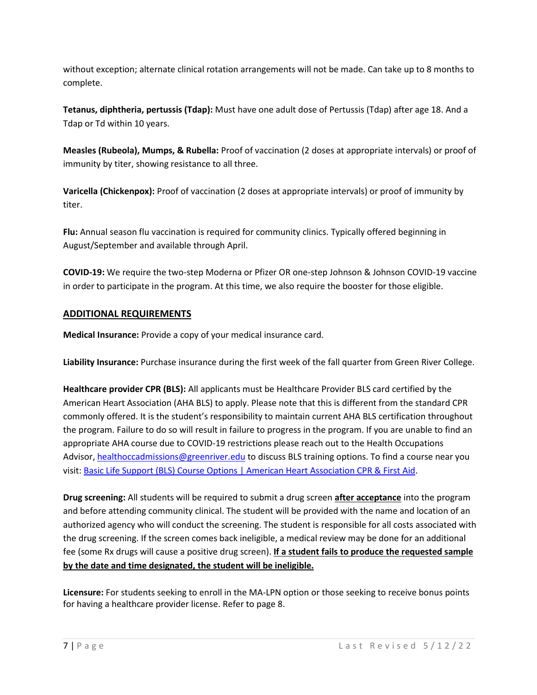without exception; alternate clinical rotation arrangements will not be made. Can take up to 8 months to complete.

**Tetanus, diphtheria, pertussis (Tdap):** Must have one adult dose of Pertussis (Tdap) after age 18. And a Tdap or Td within 10 years.

**Measles (Rubeola), Mumps, & Rubella:** Proof of vaccination (2 doses at appropriate intervals) or proof of immunity by titer, showing resistance to all three.

**Varicella (Chickenpox):** Proof of vaccination (2 doses at appropriate intervals) or proof of immunity by titer.

**Flu:** Annual season flu vaccination is required for community clinics. Typically offered beginning in August/September and available through April.

**COVID-19:** We require the two-step Moderna or Pfizer OR one-step Johnson & Johnson COVID-19 vaccine in order to participate in the program. At this time, we also require the booster for those eligible.

#### **ADDITIONAL REQUIREMENTS**

**Medical Insurance:** Provide a copy of your medical insurance card.

**Liability Insurance:** Purchase insurance during the first week of the fall quarter from Green River College.

**Healthcare provider CPR (BLS):** All applicants must be Healthcare Provider BLS card certified by the American Heart Association (AHA BLS) to apply. Please note that this is different from the standard CPR commonly offered. It is the student's responsibility to maintain current AHA BLS certification throughout the program. Failure to do so will result in failure to progress in the program. If you are unable to find an appropriate AHA course due to COVID-19 restrictions please reach out to the Health Occupations Advisor, [healthoccadmissions@greenriver.edu](mailto:healthoccadmissions@greenriver.edu) to discuss BLS training options. To find a course near you visit[: Basic Life Support \(BLS\) Course Options | American Heart Association CPR & First Aid.](https://cpr.heart.org/en/courses/basic-life-support-course-options)

**Drug screening:** All students will be required to submit a drug screen **after acceptance** into the program and before attending community clinical. The student will be provided with the name and location of an authorized agency who will conduct the screening. The student is responsible for all costs associated with the drug screening. If the screen comes back ineligible, a medical review may be done for an additional fee (some Rx drugs will cause a positive drug screen). **If a student fails to produce the requested sample by the date and time designated, the student will be ineligible.**

**Licensure:** For students seeking to enroll in the MA-LPN option or those seeking to receive bonus points for having a healthcare provider license. Refer to page 8.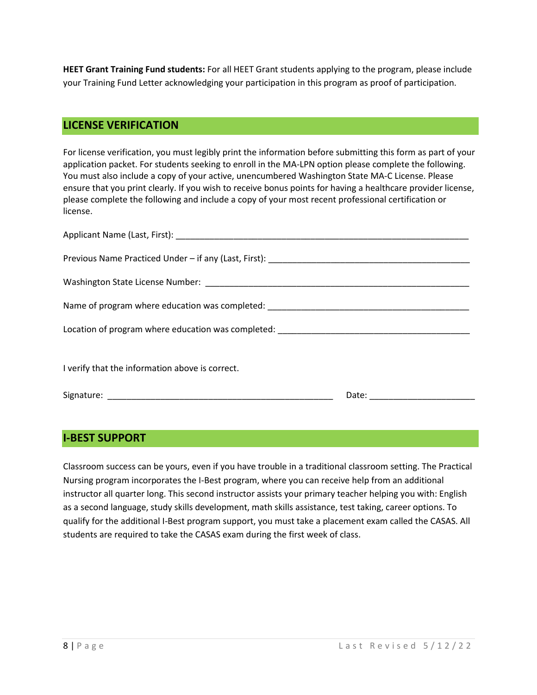**HEET Grant Training Fund students:** For all HEET Grant students applying to the program, please include your Training Fund Letter acknowledging your participation in this program as proof of participation.

### **LICENSE VERIFICATION**

For license verification, you must legibly print the information before submitting this form as part of your application packet. For students seeking to enroll in the MA-LPN option please complete the following. You must also include a copy of your active, unencumbered Washington State MA-C License. Please ensure that you print clearly. If you wish to receive bonus points for having a healthcare provider license, please complete the following and include a copy of your most recent professional certification or license.

| Name of program where education was completed: __________________________________ |                                                                                                                                |  |
|-----------------------------------------------------------------------------------|--------------------------------------------------------------------------------------------------------------------------------|--|
| Location of program where education was completed: _____________________________  |                                                                                                                                |  |
|                                                                                   |                                                                                                                                |  |
| I verify that the information above is correct.                                   |                                                                                                                                |  |
|                                                                                   | Date:<br><u> 1999 - Jan James James James James James James James James James James James James James James James James Ja</u> |  |

# **I-BEST SUPPORT**

Classroom success can be yours, even if you have trouble in a traditional classroom setting. The Practical Nursing program incorporates the I-Best program, where you can receive help from an additional instructor all quarter long. This second instructor assists your primary teacher helping you with: English as a second language, study skills development, math skills assistance, test taking, career options. To qualify for the additional I-Best program support, you must take a placement exam called the CASAS. All students are required to take the CASAS exam during the first week of class.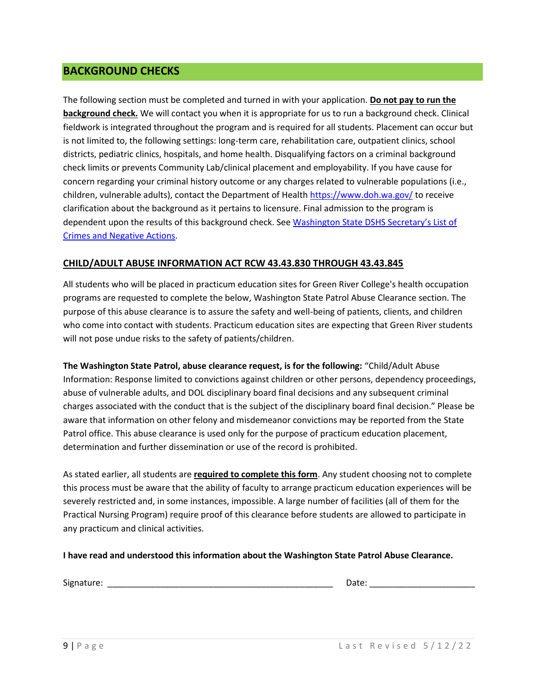#### **BACKGROUND CHECKS**

The following section must be completed and turned in with your application. **Do not pay to run the background check.** We will contact you when it is appropriate for us to run a background check. Clinical fieldwork is integrated throughout the program and is required for all students. Placement can occur but is not limited to, the following settings: long-term care, rehabilitation care, outpatient clinics, school districts, pediatric clinics, hospitals, and home health. Disqualifying factors on a criminal background check limits or prevents Community Lab/clinical placement and employability. If you have cause for concern regarding your criminal history outcome or any charges related to vulnerable populations (i.e., children, vulnerable adults), contact the Department of Healt[h https://www.doh.wa.gov/](https://www.doh.wa.gov/) to receive clarification about the background as it pertains to licensure. Final admission to the program is dependent upon the results of this background check. See [Washington State DSHS](https://www.dshs.wa.gov/ffa/disqualifying-list-crimes-and-negative-actions) Secretary's List of [Crimes and Negative Actions.](https://www.dshs.wa.gov/ffa/disqualifying-list-crimes-and-negative-actions)

#### **CHILD/ADULT ABUSE INFORMATION ACT RCW 43.43.830 THROUGH 43.43.845**

All students who will be placed in practicum education sites for Green River College's health occupation programs are requested to complete the below, Washington State Patrol Abuse Clearance section. The purpose of this abuse clearance is to assure the safety and well-being of patients, clients, and children who come into contact with students. Practicum education sites are expecting that Green River students will not pose undue risks to the safety of patients/children.

**The Washington State Patrol, abuse clearance request, is for the following:** "Child/Adult Abuse Information: Response limited to convictions against children or other persons, dependency proceedings, abuse of vulnerable adults, and DOL disciplinary board final decisions and any subsequent criminal charges associated with the conduct that is the subject of the disciplinary board final decision." Please be aware that information on other felony and misdemeanor convictions may be reported from the State Patrol office. This abuse clearance is used only for the purpose of practicum education placement, determination and further dissemination or use of the record is prohibited.

As stated earlier, all students are **required to complete this form**. Any student choosing not to complete this process must be aware that the ability of faculty to arrange practicum education experiences will be severely restricted and, in some instances, impossible. A large number of facilities (all of them for the Practical Nursing Program) require proof of this clearance before students are allowed to participate in any practicum and clinical activities.

#### **I have read and understood this information about the Washington State Patrol Abuse Clearance.**

Signature: \_\_\_\_\_\_\_\_\_\_\_\_\_\_\_\_\_\_\_\_\_\_\_\_\_\_\_\_\_\_\_\_\_\_\_\_\_\_\_\_\_\_\_\_\_\_\_ Date: \_\_\_\_\_\_\_\_\_\_\_\_\_\_\_\_\_\_\_\_\_\_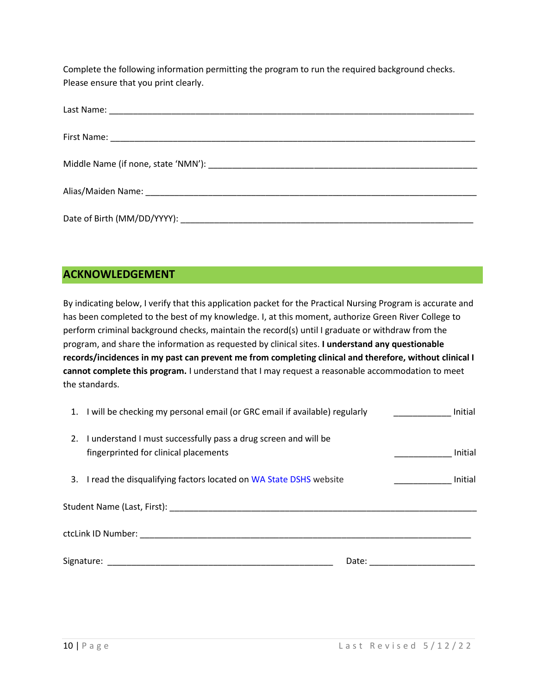Complete the following information permitting the program to run the required background checks. Please ensure that you print clearly.

# **ACKNOWLEDGEMENT**

By indicating below, I verify that this application packet for the Practical Nursing Program is accurate and has been completed to the best of my knowledge. I, at this moment, authorize Green River College to perform criminal background checks, maintain the record(s) until I graduate or withdraw from the program, and share the information as requested by clinical sites. **I understand any questionable records/incidences in my past can prevent me from completing clinical and therefore, without clinical I cannot complete this program.** I understand that I may request a reasonable accommodation to meet the standards.

| 1. I will be checking my personal email (or GRC email if available) regularly                                          | Initial |
|------------------------------------------------------------------------------------------------------------------------|---------|
| 2. I understand I must successfully pass a drug screen and will be<br>fingerprinted for clinical placements            | Initial |
| 3. I read the disqualifying factors located on WA State DSHS website                                                   | Initial |
|                                                                                                                        |         |
|                                                                                                                        |         |
| Signature: All the state of the state of the state of the state of the state of the state of the state of the<br>Date: |         |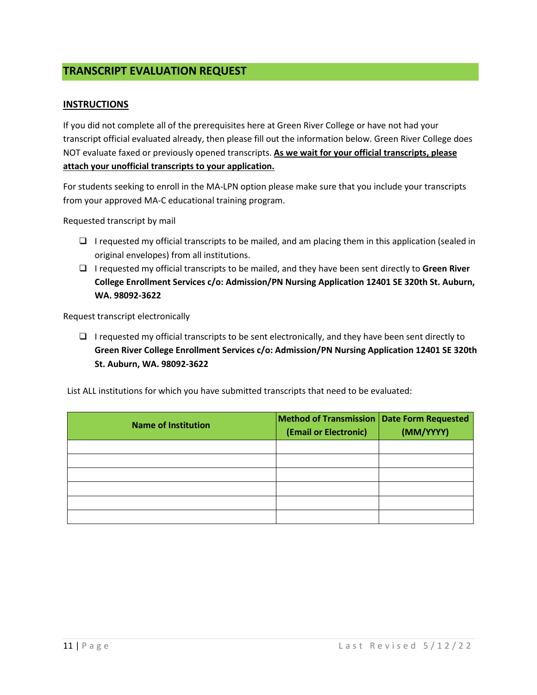### **TRANSCRIPT EVALUATION REQUEST**

#### **INSTRUCTIONS**

If you did not complete all of the prerequisites here at Green River College or have not had your transcript official evaluated already, then please fill out the information below. Green River College does NOT evaluate faxed or previously opened transcripts. **As we wait for your official transcripts, please attach your unofficial transcripts to your application.**

For students seeking to enroll in the MA-LPN option please make sure that you include your transcripts from your approved MA-C educational training program.

Requested transcript by mail

- ❑ I requested my official transcripts to be mailed, and am placing them in this application (sealed in original envelopes) from all institutions.
- ❑ I requested my official transcripts to be mailed, and they have been sent directly to **Green River College Enrollment Services c/o: Admission/PN Nursing Application 12401 SE 320th St. Auburn, WA. 98092-3622**

Request transcript electronically

 $\Box$  I requested my official transcripts to be sent electronically, and they have been sent directly to **Green River College Enrollment Services c/o: Admission/PN Nursing Application 12401 SE 320th St. Auburn, WA. 98092-3622**

List ALL institutions for which you have submitted transcripts that need to be evaluated:

| <b>Name of Institution</b> | <b>Method of Transmission   Date Form Requested</b><br>(Email or Electronic) | (MM/YYYY) |
|----------------------------|------------------------------------------------------------------------------|-----------|
|                            |                                                                              |           |
|                            |                                                                              |           |
|                            |                                                                              |           |
|                            |                                                                              |           |
|                            |                                                                              |           |
|                            |                                                                              |           |
|                            |                                                                              |           |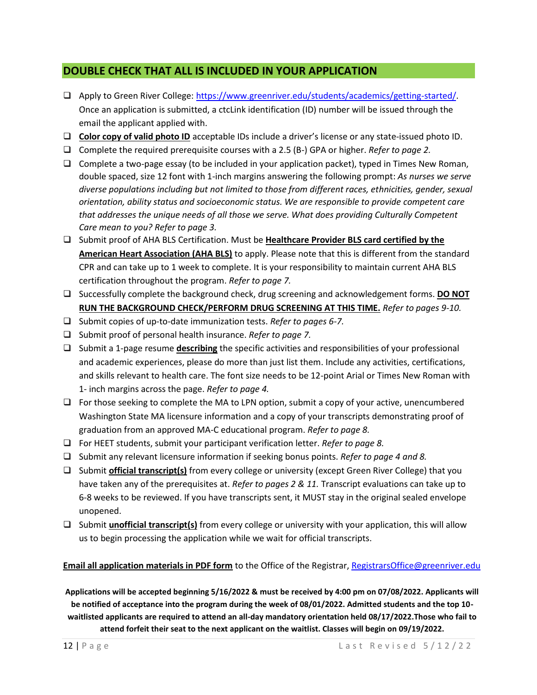## **DOUBLE CHECK THAT ALL IS INCLUDED IN YOUR APPLICATION**

- ❑ Apply to Green River College: [https://www.greenriver.edu/students/academics/getting-started/.](https://www.greenriver.edu/students/academics/getting-started/) Once an application is submitted, a ctcLink identification (ID) number will be issued through the email the applicant applied with.
- ❑ **Color copy of valid photo ID** acceptable IDs include a driver's license or any state-issued photo ID.
- ❑ Complete the required prerequisite courses with a 2.5 (B-) GPA or higher. *Refer to page 2.*
- ❑ Complete a two-page essay (to be included in your application packet), typed in Times New Roman, double spaced, size 12 font with 1-inch margins answering the following prompt: *As nurses we serve diverse populations including but not limited to those from different races, ethnicities, gender, sexual orientation, ability status and socioeconomic status. We are responsible to provide competent care that addresses the unique needs of all those we serve. What does providing Culturally Competent Care mean to you? Refer to page 3.*
- ❑ Submit proof of AHA BLS Certification. Must be **Healthcare Provider BLS card certified by the American Heart Association (AHA BLS)** to apply. Please note that this is different from the standard CPR and can take up to 1 week to complete. It is your responsibility to maintain current AHA BLS certification throughout the program. *Refer to page 7.*
- ❑ Successfully complete the background check, drug screening and acknowledgement forms. **DO NOT RUN THE BACKGROUND CHECK/PERFORM DRUG SCREENING AT THIS TIME.** *Refer to pages 9-10.*
- ❑ Submit copies of up-to-date immunization tests. *Refer to pages 6-7.*
- ❑ Submit proof of personal health insurance. *Refer to page 7.*
- ❑ Submit a 1-page resume **describing** the specific activities and responsibilities of your professional and academic experiences, please do more than just list them. Include any activities, certifications, and skills relevant to health care. The font size needs to be 12-point Arial or Times New Roman with 1- inch margins across the page. *Refer to page 4.*
- ❑ For those seeking to complete the MA to LPN option, submit a copy of your active, unencumbered Washington State MA licensure information and a copy of your transcripts demonstrating proof of graduation from an approved MA-C educational program. *Refer to page 8.*
- ❑ For HEET students, submit your participant verification letter. *Refer to page 8.*
- ❑ Submit any relevant licensure information if seeking bonus points. *Refer to page 4 and 8.*
- ❑ Submit **official transcript(s)** from every college or university (except Green River College) that you have taken any of the prerequisites at. *Refer to pages 2 & 11.* Transcript evaluations can take up to 6-8 weeks to be reviewed. If you have transcripts sent, it MUST stay in the original sealed envelope unopened.
- ❑ Submit **unofficial transcript(s)** from every college or university with your application, this will allow us to begin processing the application while we wait for official transcripts.

#### **Email all application materials in PDF form** to the Office of the Registrar, [RegistrarsOffice@greenriver.edu](mailto:RegistrarsOffice@greenriver.edu)

**Applications will be accepted beginning 5/16/2022 & must be received by 4:00 pm on 07/08/2022. Applicants will be notified of acceptance into the program during the week of 08/01/2022. Admitted students and the top 10 waitlisted applicants are required to attend an all-day mandatory orientation held 08/17/2022.Those who fail to attend forfeit their seat to the next applicant on the waitlist. Classes will begin on 09/19/2022.**